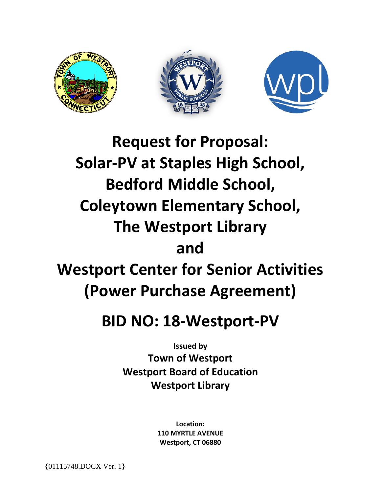





# **Request for Proposal: Solar-PV at Staples High School, Bedford Middle School, Coleytown Elementary School, The Westport Library and Westport Center for Senior Activities (Power Purchase Agreement)**

## **BID NO: 18-Westport-PV**

**Issued by Town of Westport Westport Board of Education Westport Library**

> **Location: 110 MYRTLE AVENUE Westport, CT 06880**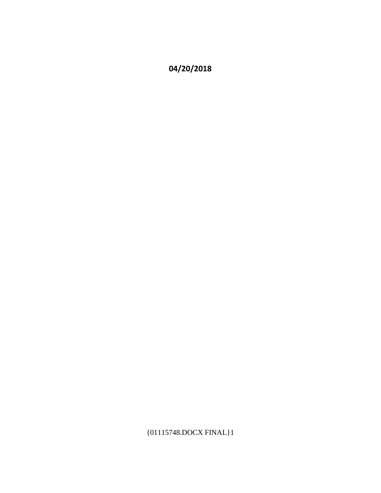## **04/20/2018**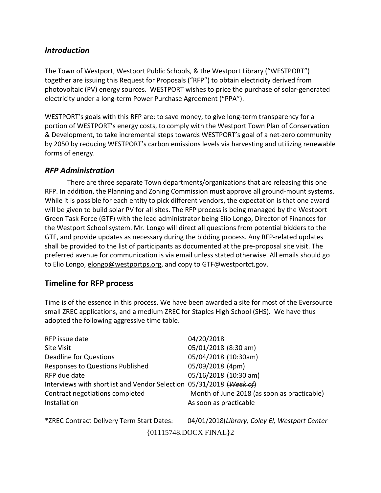#### *Introduction*

The Town of Westport, Westport Public Schools, & the Westport Library ("WESTPORT") together are issuing this Request for Proposals ("RFP") to obtain electricity derived from photovoltaic (PV) energy sources. WESTPORT wishes to price the purchase of solar-generated electricity under a long-term Power Purchase Agreement ("PPA").

WESTPORT's goals with this RFP are: to save money, to give long-term transparency for a portion of WESTPORT's energy costs, to comply with the Westport Town Plan of Conservation & Development, to take incremental steps towards WESTPORT's goal of a net-zero community by 2050 by reducing WESTPORT's carbon emissions levels via harvesting and utilizing renewable forms of energy.

#### *RFP Administration*

There are three separate Town departments/organizations that are releasing this one RFP. In addition, the Planning and Zoning Commission must approve all ground-mount systems. While it is possible for each entity to pick different vendors, the expectation is that one award will be given to build solar PV for all sites. The RFP process is being managed by the Westport Green Task Force (GTF) with the lead administrator being Elio Longo, Director of Finances for the Westport School system. Mr. Longo will direct all questions from potential bidders to the GTF, and provide updates as necessary during the bidding process. Any RFP-related updates shall be provided to the list of participants as documented at the pre-proposal site visit. The preferred avenue for communication is via email unless stated otherwise. All emails should go to Elio Longo, [elongo@westportps.org,](mailto:elongo@westportps.org) and copy to GTF@westportct.gov.

#### **Timeline for RFP process**

Time is of the essence in this process. We have been awarded a site for most of the Eversource small ZREC applications, and a medium ZREC for Staples High School (SHS). We have thus adopted the following aggressive time table.

| RFP issue date                                                      | 04/20/2018                                  |
|---------------------------------------------------------------------|---------------------------------------------|
| <b>Site Visit</b>                                                   | 05/01/2018 (8:30 am)                        |
| <b>Deadline for Questions</b>                                       | 05/04/2018 (10:30am)                        |
| Responses to Questions Published                                    | 05/09/2018 (4pm)                            |
| RFP due date                                                        | 05/16/2018 (10:30 am)                       |
| Interviews with shortlist and Vendor Selection 05/31/2018 (Week of) |                                             |
| Contract negotiations completed                                     | Month of June 2018 (as soon as practicable) |
| Installation                                                        | As soon as practicable                      |
|                                                                     |                                             |

\*ZREC Contract Delivery Term Start Dates: 04/01/2018(*Library, Coley El, Westport Center*  {01115748.DOCX FINAL}2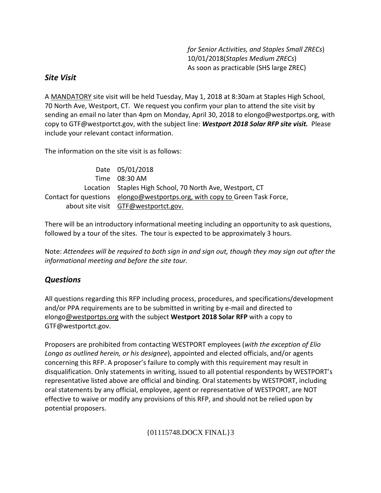*for Senior Activities, and Staples Small ZRECs*) 10/01/2018(*Staples Medium ZRECs*) As soon as practicable (SHS large ZREC)

#### *Site Visit*

A MANDATORY site visit will be held Tuesday, May 1, 2018 at 8:30am at Staples High School, 70 North Ave, Westport, CT. We request you confirm your plan to attend the site visit by sending an email no later than 4pm on Monday, April 30, 2018 to elongo@westportps.org, with copy to GTF@westportct.gov, with the subject line: *Westport 2018 Solar RFP site visit.* Please include your relevant contact information.

The information on the site visit is as follows:

| Date 05/01/2018                                                             |
|-----------------------------------------------------------------------------|
| Time 08:30 AM                                                               |
| Location Staples High School, 70 North Ave, Westport, CT                    |
| Contact for questions elongo@westportps.org, with copy to Green Task Force, |
| about site visit GTF@westportct.gov.                                        |

There will be an introductory informational meeting including an opportunity to ask questions, followed by a tour of the sites. The tour is expected to be approximately 3 hours.

Note: *Attendees will be required to both sign in and sign out, though they may sign out after the informational meeting and before the site tour.*

#### *Questions*

All questions regarding this RFP including process, procedures, and specifications/development and/or PPA requirements are to be submitted in writing by e-mail and directed to elong[o@westportps.org](mailto:elongo@westportps.org) with the subject **Westport 2018 Solar RFP** with a copy to GTF@westportct.gov.

Proposers are prohibited from contacting WESTPORT employees (*with the exception of Elio Longo as outlined herein, or his designee*), appointed and elected officials, and/or agents concerning this RFP. A proposer's failure to comply with this requirement may result in disqualification. Only statements in writing, issued to all potential respondents by WESTPORT's representative listed above are official and binding. Oral statements by WESTPORT, including oral statements by any official, employee, agent or representative of WESTPORT, are NOT effective to waive or modify any provisions of this RFP, and should not be relied upon by potential proposers.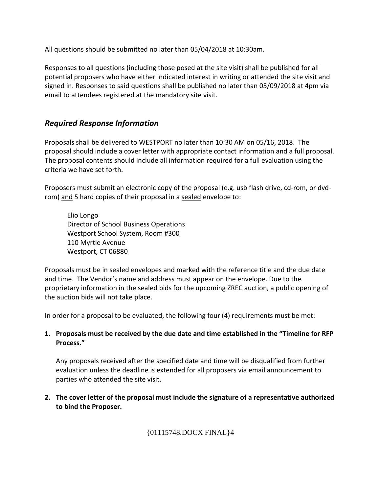All questions should be submitted no later than 05/04/2018 at 10:30am.

Responses to all questions (including those posed at the site visit) shall be published for all potential proposers who have either indicated interest in writing or attended the site visit and signed in. Responses to said questions shall be published no later than 05/09/2018 at 4pm via email to attendees registered at the mandatory site visit.

#### *Required Response Information*

Proposals shall be delivered to WESTPORT no later than 10:30 AM on 05/16, 2018. The proposal should include a cover letter with appropriate contact information and a full proposal. The proposal contents should include all information required for a full evaluation using the criteria we have set forth.

Proposers must submit an electronic copy of the proposal (e.g. usb flash drive, cd-rom, or dvdrom) and 5 hard copies of their proposal in a sealed envelope to:

Elio Longo Director of School Business Operations Westport School System, Room #300 110 Myrtle Avenue Westport, CT 06880

Proposals must be in sealed envelopes and marked with the reference title and the due date and time. The Vendor's name and address must appear on the envelope. Due to the proprietary information in the sealed bids for the upcoming ZREC auction, a public opening of the auction bids will not take place.

In order for a proposal to be evaluated, the following four (4) requirements must be met:

#### **1. Proposals must be received by the due date and time established in the "Timeline for RFP Process."**

Any proposals received after the specified date and time will be disqualified from further evaluation unless the deadline is extended for all proposers via email announcement to parties who attended the site visit.

**2. The cover letter of the proposal must include the signature of a representative authorized to bind the Proposer.**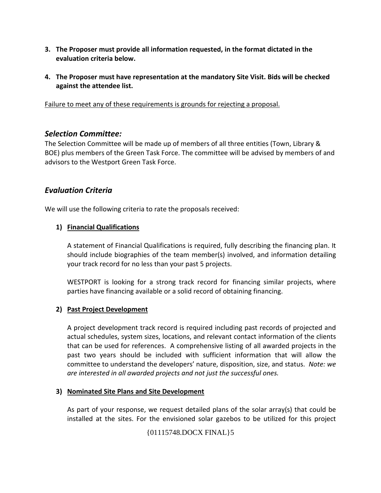- **3. The Proposer must provide all information requested, in the format dictated in the evaluation criteria below.**
- **4. The Proposer must have representation at the mandatory Site Visit. Bids will be checked against the attendee list.**

Failure to meet any of these requirements is grounds for rejecting a proposal.

#### *Selection Committee:*

The Selection Committee will be made up of members of all three entities (Town, Library & BOE) plus members of the Green Task Force. The committee will be advised by members of and advisors to the Westport Green Task Force.

#### *Evaluation Criteria*

We will use the following criteria to rate the proposals received:

#### **1) Financial Qualifications**

A statement of Financial Qualifications is required, fully describing the financing plan. It should include biographies of the team member(s) involved, and information detailing your track record for no less than your past 5 projects.

WESTPORT is looking for a strong track record for financing similar projects, where parties have financing available or a solid record of obtaining financing.

#### **2) Past Project Development**

A project development track record is required including past records of projected and actual schedules, system sizes, locations, and relevant contact information of the clients that can be used for references. A comprehensive listing of all awarded projects in the past two years should be included with sufficient information that will allow the committee to understand the developers' nature, disposition, size, and status. *Note: we are interested in all awarded projects and not just the successful ones.*

#### **3) Nominated Site Plans and Site Development**

As part of your response, we request detailed plans of the solar array(s) that could be installed at the sites. For the envisioned solar gazebos to be utilized for this project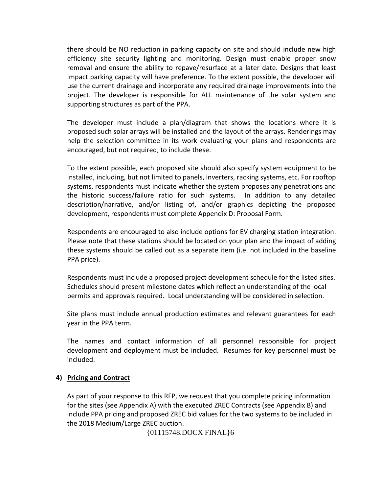there should be NO reduction in parking capacity on site and should include new high efficiency site security lighting and monitoring. Design must enable proper snow removal and ensure the ability to repave/resurface at a later date. Designs that least impact parking capacity will have preference. To the extent possible, the developer will use the current drainage and incorporate any required drainage improvements into the project. The developer is responsible for ALL maintenance of the solar system and supporting structures as part of the PPA.

The developer must include a plan/diagram that shows the locations where it is proposed such solar arrays will be installed and the layout of the arrays. Renderings may help the selection committee in its work evaluating your plans and respondents are encouraged, but not required, to include these.

To the extent possible, each proposed site should also specify system equipment to be installed, including, but not limited to panels, inverters, racking systems, etc. For rooftop systems, respondents must indicate whether the system proposes any penetrations and the historic success/failure ratio for such systems. In addition to any detailed description/narrative, and/or listing of, and/or graphics depicting the proposed development, respondents must complete Appendix D: Proposal Form.

Respondents are encouraged to also include options for EV charging station integration. Please note that these stations should be located on your plan and the impact of adding these systems should be called out as a separate item (i.e. not included in the baseline PPA price).

Respondents must include a proposed project development schedule for the listed sites. Schedules should present milestone dates which reflect an understanding of the local permits and approvals required. Local understanding will be considered in selection.

Site plans must include annual production estimates and relevant guarantees for each year in the PPA term.

The names and contact information of all personnel responsible for project development and deployment must be included. Resumes for key personnel must be included.

#### **4) Pricing and Contract**

As part of your response to this RFP, we request that you complete pricing information for the sites (see Appendix A) with the executed ZREC Contracts (see Appendix B) and include PPA pricing and proposed ZREC bid values for the two systems to be included in the 2018 Medium/Large ZREC auction.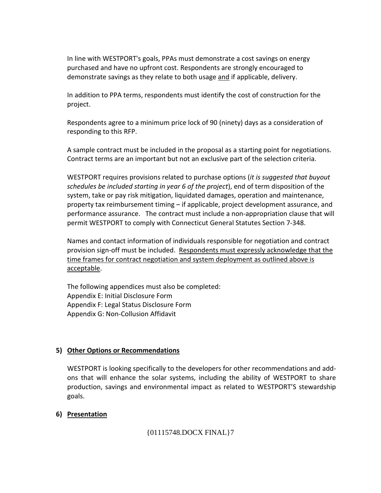In line with WESTPORT's goals, PPAs must demonstrate a cost savings on energy purchased and have no upfront cost. Respondents are strongly encouraged to demonstrate savings as they relate to both usage and if applicable, delivery.

In addition to PPA terms, respondents must identify the cost of construction for the project.

Respondents agree to a minimum price lock of 90 (ninety) days as a consideration of responding to this RFP.

A sample contract must be included in the proposal as a starting point for negotiations. Contract terms are an important but not an exclusive part of the selection criteria.

WESTPORT requires provisions related to purchase options (*it is suggested that buyout schedules be included starting in year 6 of the project*), end of term disposition of the system, take or pay risk mitigation, liquidated damages, operation and maintenance, property tax reimbursement timing – if applicable, project development assurance, and performance assurance. The contract must include a non-appropriation clause that will permit WESTPORT to comply with Connecticut General Statutes Section 7-348.

Names and contact information of individuals responsible for negotiation and contract provision sign-off must be included. Respondents must expressly acknowledge that the time frames for contract negotiation and system deployment as outlined above is acceptable.

The following appendices must also be completed: Appendix E: Initial Disclosure Form Appendix F: Legal Status Disclosure Form Appendix G: Non-Collusion Affidavit

#### **5) Other Options or Recommendations**

WESTPORT is looking specifically to the developers for other recommendations and addons that will enhance the solar systems, including the ability of WESTPORT to share production, savings and environmental impact as related to WESTPORT'S stewardship goals.

#### **6) Presentation**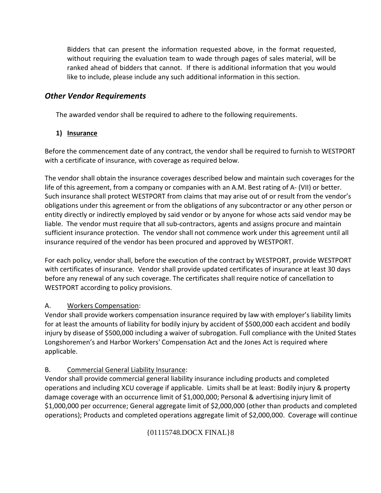Bidders that can present the information requested above, in the format requested, without requiring the evaluation team to wade through pages of sales material, will be ranked ahead of bidders that cannot. If there is additional information that you would like to include, please include any such additional information in this section.

#### *Other Vendor Requirements*

The awarded vendor shall be required to adhere to the following requirements.

#### **1) Insurance**

Before the commencement date of any contract, the vendor shall be required to furnish to WESTPORT with a certificate of insurance, with coverage as required below.

The vendor shall obtain the insurance coverages described below and maintain such coverages for the life of this agreement, from a company or companies with an A.M. Best rating of A- (VII) or better. Such insurance shall protect WESTPORT from claims that may arise out of or result from the vendor's obligations under this agreement or from the obligations of any subcontractor or any other person or entity directly or indirectly employed by said vendor or by anyone for whose acts said vendor may be liable. The vendor must require that all sub-contractors, agents and assigns procure and maintain sufficient insurance protection. The vendor shall not commence work under this agreement until all insurance required of the vendor has been procured and approved by WESTPORT.

For each policy, vendor shall, before the execution of the contract by WESTPORT, provide WESTPORT with certificates of insurance. Vendor shall provide updated certificates of insurance at least 30 days before any renewal of any such coverage. The certificates shall require notice of cancellation to WESTPORT according to policy provisions.

#### A. Workers Compensation:

Vendor shall provide workers compensation insurance required by law with employer's liability limits for at least the amounts of liability for bodily injury by accident of \$500,000 each accident and bodily injury by disease of \$500,000 including a waiver of subrogation. Full compliance with the United States Longshoremen's and Harbor Workers' Compensation Act and the Jones Act is required where applicable.

#### B. Commercial General Liability Insurance:

Vendor shall provide commercial general liability insurance including products and completed operations and including XCU coverage if applicable. Limits shall be at least: Bodily injury & property damage coverage with an occurrence limit of \$1,000,000; Personal & advertising injury limit of \$1,000,000 per occurrence; General aggregate limit of \$2,000,000 (other than products and completed operations); Products and completed operations aggregate limit of \$2,000,000. Coverage will continue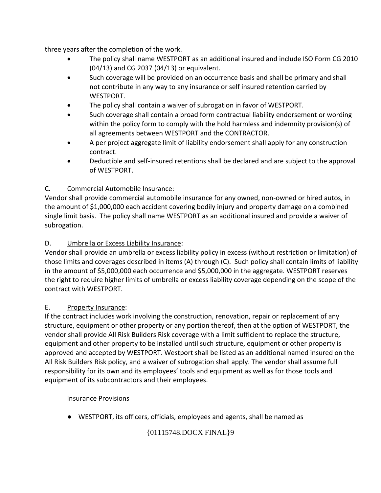three years after the completion of the work.

- The policy shall name WESTPORT as an additional insured and include ISO Form CG 2010 (04/13) and CG 2037 (04/13) or equivalent.
- Such coverage will be provided on an occurrence basis and shall be primary and shall not contribute in any way to any insurance or self insured retention carried by WESTPORT.
- The policy shall contain a waiver of subrogation in favor of WESTPORT.
- Such coverage shall contain a broad form contractual liability endorsement or wording within the policy form to comply with the hold harmless and indemnity provision(s) of all agreements between WESTPORT and the CONTRACTOR.
- A per project aggregate limit of liability endorsement shall apply for any construction contract.
- Deductible and self-insured retentions shall be declared and are subject to the approval of WESTPORT.

#### C. Commercial Automobile Insurance:

Vendor shall provide commercial automobile insurance for any owned, non-owned or hired autos, in the amount of \$1,000,000 each accident covering bodily injury and property damage on a combined single limit basis. The policy shall name WESTPORT as an additional insured and provide a waiver of subrogation.

#### D. Umbrella or Excess Liability Insurance:

Vendor shall provide an umbrella or excess liability policy in excess (without restriction or limitation) of those limits and coverages described in items (A) through (C). Such policy shall contain limits of liability in the amount of \$5,000,000 each occurrence and \$5,000,000 in the aggregate. WESTPORT reserves the right to require higher limits of umbrella or excess liability coverage depending on the scope of the contract with WESTPORT.

#### E. Property Insurance:

If the contract includes work involving the construction, renovation, repair or replacement of any structure, equipment or other property or any portion thereof, then at the option of WESTPORT, the vendor shall provide All Risk Builders Risk coverage with a limit sufficient to replace the structure, equipment and other property to be installed until such structure, equipment or other property is approved and accepted by WESTPORT. Westport shall be listed as an additional named insured on the All Risk Builders Risk policy, and a waiver of subrogation shall apply. The vendor shall assume full responsibility for its own and its employees' tools and equipment as well as for those tools and equipment of its subcontractors and their employees.

Insurance Provisions

● WESTPORT, its officers, officials, employees and agents, shall be named as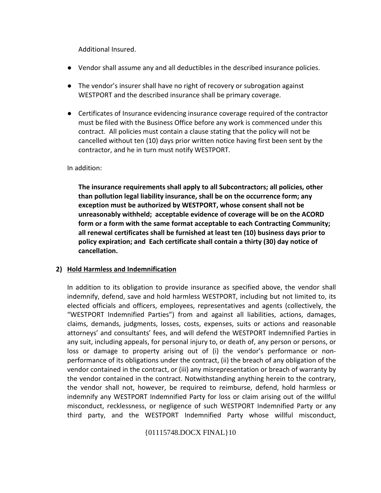Additional Insured.

- Vendor shall assume any and all deductibles in the described insurance policies.
- The vendor's insurer shall have no right of recovery or subrogation against WESTPORT and the described insurance shall be primary coverage.
- Certificates of Insurance evidencing insurance coverage required of the contractor must be filed with the Business Office before any work is commenced under this contract. All policies must contain a clause stating that the policy will not be cancelled without ten (10) days prior written notice having first been sent by the contractor, and he in turn must notify WESTPORT.

In addition:

**The insurance requirements shall apply to all Subcontractors; all policies, other than pollution legal liability insurance, shall be on the occurrence form; any exception must be authorized by WESTPORT, whose consent shall not be unreasonably withheld; acceptable evidence of coverage will be on the ACORD form or a form with the same format acceptable to each Contracting Community; all renewal certificates shall be furnished at least ten (10) business days prior to policy expiration; and Each certificate shall contain a thirty (30) day notice of cancellation.**

#### **2) Hold Harmless and Indemnification**

In addition to its obligation to provide insurance as specified above, the vendor shall indemnify, defend, save and hold harmless WESTPORT, including but not limited to, its elected officials and officers, employees, representatives and agents (collectively, the "WESTPORT Indemnified Parties") from and against all liabilities, actions, damages, claims, demands, judgments, losses, costs, expenses, suits or actions and reasonable attorneys' and consultants' fees, and will defend the WESTPORT Indemnified Parties in any suit, including appeals, for personal injury to, or death of, any person or persons, or loss or damage to property arising out of (i) the vendor's performance or nonperformance of its obligations under the contract, (ii) the breach of any obligation of the vendor contained in the contract, or (iii) any misrepresentation or breach of warranty by the vendor contained in the contract. Notwithstanding anything herein to the contrary, the vendor shall not, however, be required to reimburse, defend, hold harmless or indemnify any WESTPORT Indemnified Party for loss or claim arising out of the willful misconduct, recklessness, or negligence of such WESTPORT Indemnified Party or any third party, and the WESTPORT Indemnified Party whose willful misconduct,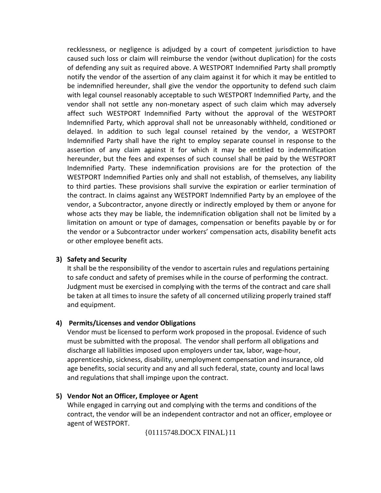recklessness, or negligence is adjudged by a court of competent jurisdiction to have caused such loss or claim will reimburse the vendor (without duplication) for the costs of defending any suit as required above. A WESTPORT Indemnified Party shall promptly notify the vendor of the assertion of any claim against it for which it may be entitled to be indemnified hereunder, shall give the vendor the opportunity to defend such claim with legal counsel reasonably acceptable to such WESTPORT Indemnified Party, and the vendor shall not settle any non-monetary aspect of such claim which may adversely affect such WESTPORT Indemnified Party without the approval of the WESTPORT Indemnified Party, which approval shall not be unreasonably withheld, conditioned or delayed. In addition to such legal counsel retained by the vendor, a WESTPORT Indemnified Party shall have the right to employ separate counsel in response to the assertion of any claim against it for which it may be entitled to indemnification hereunder, but the fees and expenses of such counsel shall be paid by the WESTPORT Indemnified Party. These indemnification provisions are for the protection of the WESTPORT Indemnified Parties only and shall not establish, of themselves, any liability to third parties. These provisions shall survive the expiration or earlier termination of the contract. In claims against any WESTPORT Indemnified Party by an employee of the vendor, a Subcontractor, anyone directly or indirectly employed by them or anyone for whose acts they may be liable, the indemnification obligation shall not be limited by a limitation on amount or type of damages, compensation or benefits payable by or for the vendor or a Subcontractor under workers' compensation acts, disability benefit acts or other employee benefit acts.

#### **3) Safety and Security**

It shall be the responsibility of the vendor to ascertain rules and regulations pertaining to safe conduct and safety of premises while in the course of performing the contract. Judgment must be exercised in complying with the terms of the contract and care shall be taken at all times to insure the safety of all concerned utilizing properly trained staff and equipment.

#### **4) Permits/Licenses and vendor Obligations**

Vendor must be licensed to perform work proposed in the proposal. Evidence of such must be submitted with the proposal. The vendor shall perform all obligations and discharge all liabilities imposed upon employers under tax, labor, wage-hour, apprenticeship, sickness, disability, unemployment compensation and insurance, old age benefits, social security and any and all such federal, state, county and local laws and regulations that shall impinge upon the contract.

#### **5) Vendor Not an Officer, Employee or Agent**

While engaged in carrying out and complying with the terms and conditions of the contract, the vendor will be an independent contractor and not an officer, employee or agent of WESTPORT.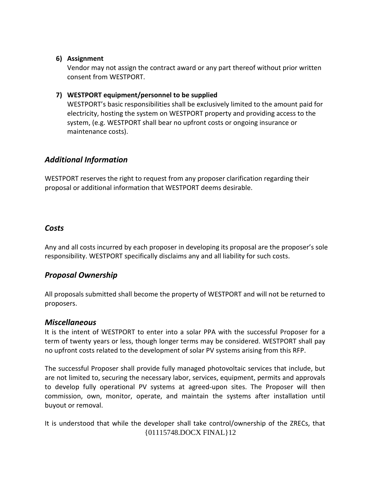#### **6) Assignment**

Vendor may not assign the contract award or any part thereof without prior written consent from WESTPORT.

#### **7) WESTPORT equipment/personnel to be supplied**

WESTPORT's basic responsibilities shall be exclusively limited to the amount paid for electricity, hosting the system on WESTPORT property and providing access to the system, (e.g. WESTPORT shall bear no upfront costs or ongoing insurance or maintenance costs).

#### *Additional Information*

WESTPORT reserves the right to request from any proposer clarification regarding their proposal or additional information that WESTPORT deems desirable.

#### *Costs*

Any and all costs incurred by each proposer in developing its proposal are the proposer's sole responsibility. WESTPORT specifically disclaims any and all liability for such costs.

#### *Proposal Ownership*

All proposals submitted shall become the property of WESTPORT and will not be returned to proposers.

#### *Miscellaneous*

It is the intent of WESTPORT to enter into a solar PPA with the successful Proposer for a term of twenty years or less, though longer terms may be considered. WESTPORT shall pay no upfront costs related to the development of solar PV systems arising from this RFP.

The successful Proposer shall provide fully managed photovoltaic services that include, but are not limited to, securing the necessary labor, services, equipment, permits and approvals to develop fully operational PV systems at agreed-upon sites. The Proposer will then commission, own, monitor, operate, and maintain the systems after installation until buyout or removal.

It is understood that while the developer shall take control/ownership of the ZRECs, that {01115748.DOCX FINAL}12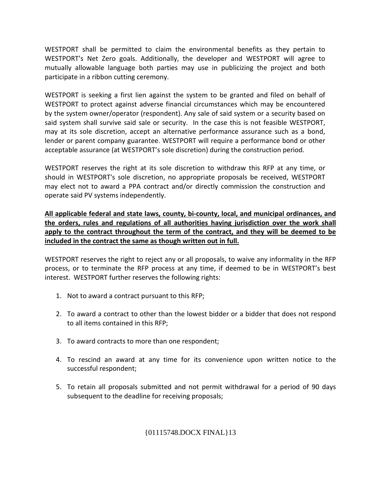WESTPORT shall be permitted to claim the environmental benefits as they pertain to WESTPORT's Net Zero goals. Additionally, the developer and WESTPORT will agree to mutually allowable language both parties may use in publicizing the project and both participate in a ribbon cutting ceremony.

WESTPORT is seeking a first lien against the system to be granted and filed on behalf of WESTPORT to protect against adverse financial circumstances which may be encountered by the system owner/operator (respondent). Any sale of said system or a security based on said system shall survive said sale or security. In the case this is not feasible WESTPORT, may at its sole discretion, accept an alternative performance assurance such as a bond, lender or parent company guarantee. WESTPORT will require a performance bond or other acceptable assurance (at WESTPORT's sole discretion) during the construction period.

WESTPORT reserves the right at its sole discretion to withdraw this RFP at any time, or should in WESTPORT's sole discretion, no appropriate proposals be received, WESTPORT may elect not to award a PPA contract and/or directly commission the construction and operate said PV systems independently.

**All applicable federal and state laws, county, bi-county, local, and municipal ordinances, and the orders, rules and regulations of all authorities having jurisdiction over the work shall apply to the contract throughout the term of the contract, and they will be deemed to be included in the contract the same as though written out in full.**

WESTPORT reserves the right to reject any or all proposals, to waive any informality in the RFP process, or to terminate the RFP process at any time, if deemed to be in WESTPORT's best interest. WESTPORT further reserves the following rights:

- 1. Not to award a contract pursuant to this RFP;
- 2. To award a contract to other than the lowest bidder or a bidder that does not respond to all items contained in this RFP;
- 3. To award contracts to more than one respondent;
- 4. To rescind an award at any time for its convenience upon written notice to the successful respondent;
- 5. To retain all proposals submitted and not permit withdrawal for a period of 90 days subsequent to the deadline for receiving proposals;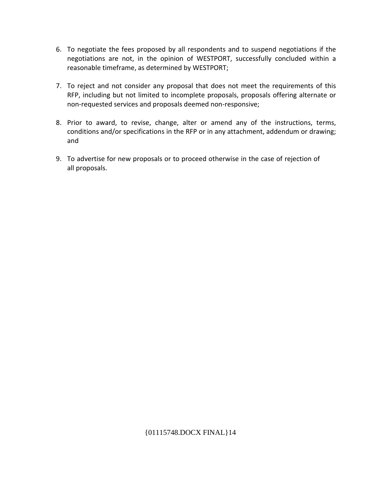- 6. To negotiate the fees proposed by all respondents and to suspend negotiations if the negotiations are not, in the opinion of WESTPORT, successfully concluded within a reasonable timeframe, as determined by WESTPORT;
- 7. To reject and not consider any proposal that does not meet the requirements of this RFP, including but not limited to incomplete proposals, proposals offering alternate or non-requested services and proposals deemed non-responsive;
- 8. Prior to award, to revise, change, alter or amend any of the instructions, terms, conditions and/or specifications in the RFP or in any attachment, addendum or drawing; and
- 9. To advertise for new proposals or to proceed otherwise in the case of rejection of all proposals.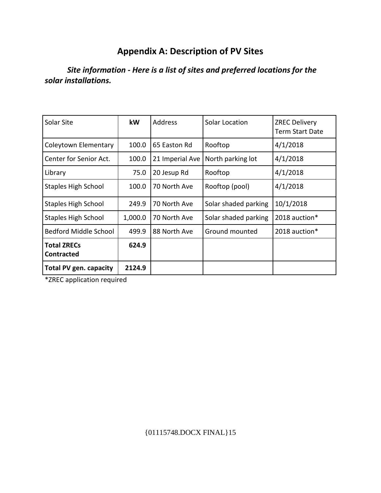## **Appendix A: Description of PV Sites**

## *Site information - Here is a list of sites and preferred locations for the solar installations.*

| Solar Site                              | kW      | <b>Address</b>  | Solar Location       | <b>ZREC Delivery</b><br><b>Term Start Date</b> |
|-----------------------------------------|---------|-----------------|----------------------|------------------------------------------------|
| Coleytown Elementary                    | 100.0   | 65 Easton Rd    | Rooftop              | 4/1/2018                                       |
| Center for Senior Act.                  | 100.0   | 21 Imperial Ave | North parking lot    | 4/1/2018                                       |
| Library                                 | 75.0    | 20 Jesup Rd     | Rooftop              | 4/1/2018                                       |
| <b>Staples High School</b>              | 100.0   | 70 North Ave    | Rooftop (pool)       | 4/1/2018                                       |
| Staples High School                     | 249.9   | 70 North Ave    | Solar shaded parking | 10/1/2018                                      |
| <b>Staples High School</b>              | 1,000.0 | 70 North Ave    | Solar shaded parking | 2018 auction*                                  |
| Bedford Middle School                   | 499.9   | 88 North Ave    | Ground mounted       | 2018 auction*                                  |
| <b>Total ZRECs</b><br><b>Contracted</b> | 624.9   |                 |                      |                                                |
| <b>Total PV gen. capacity</b>           | 2124.9  |                 |                      |                                                |

\*ZREC application required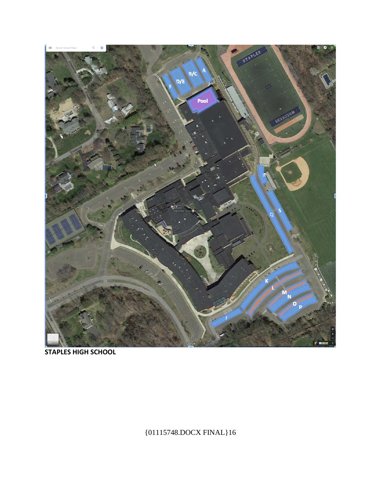

**STAPLES HIGH SCHOOL**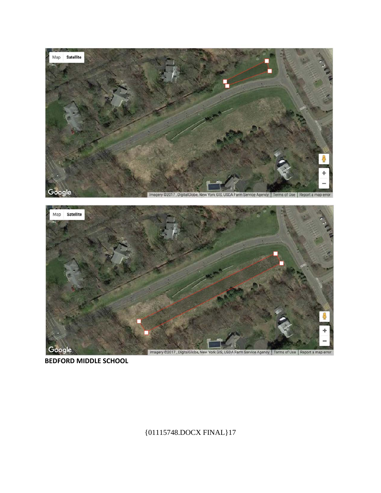



**BEDFORD MIDDLE SCHOOL**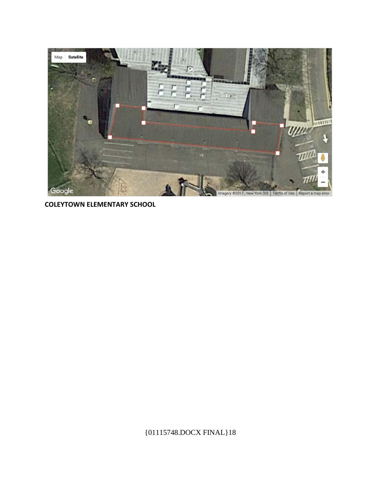

**COLEYTOWN ELEMENTARY SCHOOL**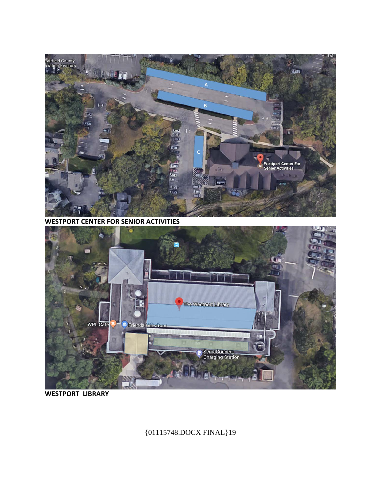## {01115748.DOCX FINAL}19

#### **WESTPORT LIBRARY**



**WESTPORT CENTER FOR SENIOR ACTIVITIES** 

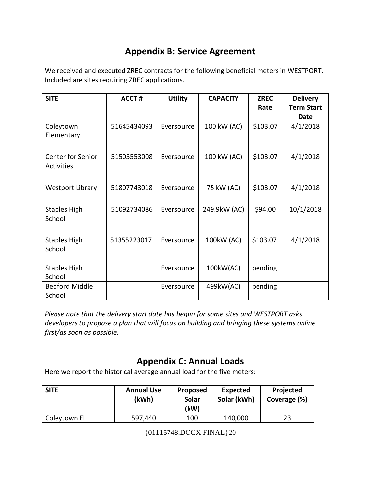## **Appendix B: Service Agreement**

We received and executed ZREC contracts for the following beneficial meters in WESTPORT. Included are sites requiring ZREC applications.

| <b>SITE</b>                                   | <b>ACCT#</b> | <b>Utility</b> | <b>CAPACITY</b> | <b>ZREC</b> | <b>Delivery</b>   |
|-----------------------------------------------|--------------|----------------|-----------------|-------------|-------------------|
|                                               |              |                |                 | Rate        | <b>Term Start</b> |
|                                               |              |                |                 |             | Date              |
| Coleytown<br>Elementary                       | 51645434093  | Eversource     | 100 kW (AC)     | \$103.07    | 4/1/2018          |
| <b>Center for Senior</b><br><b>Activities</b> | 51505553008  | Eversource     | 100 kW (AC)     | \$103.07    | 4/1/2018          |
| <b>Westport Library</b>                       | 51807743018  | Eversource     | 75 kW (AC)      | \$103.07    | 4/1/2018          |
| <b>Staples High</b><br>School                 | 51092734086  | Eversource     | 249.9kW (AC)    | \$94.00     | 10/1/2018         |
| <b>Staples High</b><br>School                 | 51355223017  | Eversource     | 100kW (AC)      | \$103.07    | 4/1/2018          |
| <b>Staples High</b><br>School                 |              | Eversource     | 100kW(AC)       | pending     |                   |
| <b>Bedford Middle</b><br>School               |              | Eversource     | 499kW(AC)       | pending     |                   |

*Please note that the delivery start date has begun for some sites and WESTPORT asks developers to propose a plan that will focus on building and bringing these systems online first/as soon as possible.*

## **Appendix C: Annual Loads**

Here we report the historical average annual load for the five meters:

| <b>SITE</b>  | <b>Annual Use</b><br>(kWh) | Proposed<br>Solar<br>(kW) | <b>Expected</b><br>Solar (kWh) | Projected<br>Coverage (%) |
|--------------|----------------------------|---------------------------|--------------------------------|---------------------------|
| Coleytown El | 597,440                    | 100                       | 140,000                        | 23                        |

<sup>{01115748.</sup>DOCX FINAL}20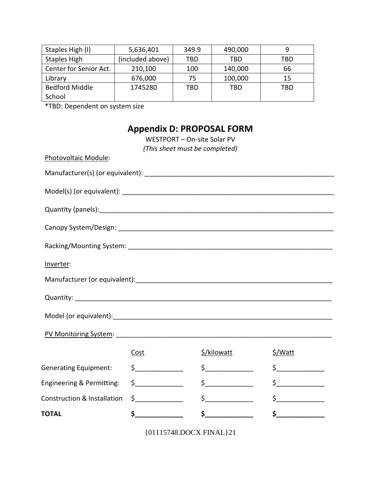| Staples High (I)       | 5,636,401        | 349.9 | 490,000 |     |
|------------------------|------------------|-------|---------|-----|
| <b>Staples High</b>    | (included above) | TBD   | TBD     | TBD |
| Center for Senior Act. | 210,100          | 100   | 140,000 | 66  |
| Library                | 676,000          | 75.   | 100,000 | 15  |
| <b>Bedford Middle</b>  | 1745280          | TBD   | TBD     | TBD |
| School                 |                  |       |         |     |

\*TBD: Dependent on system size

## **Appendix D: PROPOSAL FORM**

WESTPORT – On-site Solar PV *(This sheet must be completed)* Photovoltaic Module: Manufacturer(s) (or equivalent): \_\_\_\_\_\_\_\_\_\_\_\_\_\_\_\_\_\_\_\_\_\_\_\_\_\_\_\_\_\_\_\_\_\_\_\_\_\_\_\_\_\_\_\_\_\_\_\_\_\_\_ Model(s) (or equivalent): <u>with a set of the set of the set of the set of the set of the set of the set of the set of the set of the set of the set of the set of the set of the set of the set of the set of the set of the s</u> Quantity (panels):\_\_\_\_\_\_\_\_\_\_\_\_\_\_\_\_\_\_\_\_\_\_\_\_\_\_\_\_\_\_\_\_\_\_\_\_\_\_\_\_\_\_\_\_\_\_\_\_\_\_\_\_\_\_\_\_\_\_\_\_\_\_\_ Canopy System/Design: \_\_\_\_\_\_\_\_\_\_\_\_\_\_\_\_\_\_\_\_\_\_\_\_\_\_\_\_\_\_\_\_\_\_\_\_\_\_\_\_\_\_\_\_\_\_\_\_\_\_\_\_\_\_\_\_\_\_ Racking/Mounting System: **Example 2018** Inverter: Manufacturer (or equivalent):\_\_\_\_\_\_\_\_\_\_\_\_\_\_\_\_\_\_\_\_\_\_\_\_\_\_\_\_\_\_\_\_\_\_\_\_\_\_\_\_\_\_\_\_\_\_\_\_\_\_\_\_\_ Quantity: \_\_\_\_\_\_\_\_\_\_\_\_\_\_\_\_\_\_\_\_\_\_\_\_\_\_\_\_\_\_\_\_\_\_\_\_\_\_\_\_\_\_\_\_\_\_\_\_\_\_\_\_\_\_\_\_\_\_\_\_\_\_\_\_\_\_\_\_\_ Model (or equivalent):\_\_\_\_\_\_\_\_\_\_\_\_\_\_\_\_\_\_\_\_\_\_\_\_\_\_\_\_\_\_\_\_\_\_\_\_\_\_\_\_\_\_\_\_\_\_\_\_\_\_\_\_\_\_\_\_\_\_\_ PV Monitoring System: Cost  $\frac{\zeta}{\text{N}}$  + S/kilowatt  $\frac{\zeta}{\text{N}}$ Generating Equipment:  $\begin{matrix} \xi & \xi \\ \xi & \xi \end{matrix}$   $\begin{matrix} \xi & \xi \\ \xi & \xi \end{matrix}$ Engineering & Permitting: \$\_\_\_\_\_\_\_\_\_\_\_\_\_ \$\_\_\_\_\_\_\_\_\_\_\_\_\_ \$\_\_\_\_\_\_\_\_\_\_\_\_\_ Construction & Installation \$\_\_\_\_\_\_\_\_\_\_\_\_\_ \$\_\_\_\_\_\_\_\_\_\_\_\_\_ \$\_\_\_\_\_\_\_\_\_\_\_\_\_ **TOTAL \$\_\_\_\_\_\_\_\_\_\_\_\_\_ \$\_\_\_\_\_\_\_\_\_\_\_\_\_ \$\_\_\_\_\_\_\_\_\_\_\_\_\_**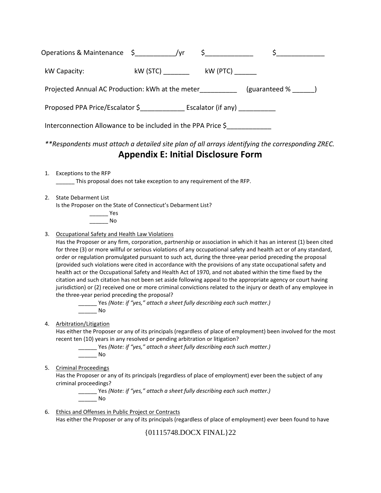|    | Operations & Maintenance \$_____________/yr                                                                                                                                                                                                      |  | $\frac{1}{2}$                              | \$                                                                                                                                                                                                                                                                                                                                                                                                                                                                                                                                                                                                                                                                                                                                                                                                                 |
|----|--------------------------------------------------------------------------------------------------------------------------------------------------------------------------------------------------------------------------------------------------|--|--------------------------------------------|--------------------------------------------------------------------------------------------------------------------------------------------------------------------------------------------------------------------------------------------------------------------------------------------------------------------------------------------------------------------------------------------------------------------------------------------------------------------------------------------------------------------------------------------------------------------------------------------------------------------------------------------------------------------------------------------------------------------------------------------------------------------------------------------------------------------|
|    | kW Capacity:                                                                                                                                                                                                                                     |  | kW (STC) __________ kW (PTC) _______       |                                                                                                                                                                                                                                                                                                                                                                                                                                                                                                                                                                                                                                                                                                                                                                                                                    |
|    |                                                                                                                                                                                                                                                  |  |                                            | Projected Annual AC Production: kWh at the meter_____________ (guaranteed % _____)                                                                                                                                                                                                                                                                                                                                                                                                                                                                                                                                                                                                                                                                                                                                 |
|    | Proposed PPA Price/Escalator \$_________________ Escalator (if any) ____________                                                                                                                                                                 |  |                                            |                                                                                                                                                                                                                                                                                                                                                                                                                                                                                                                                                                                                                                                                                                                                                                                                                    |
|    | Interconnection Allowance to be included in the PPA Price \$                                                                                                                                                                                     |  |                                            |                                                                                                                                                                                                                                                                                                                                                                                                                                                                                                                                                                                                                                                                                                                                                                                                                    |
|    |                                                                                                                                                                                                                                                  |  | <b>Appendix E: Initial Disclosure Form</b> | **Respondents must attach a detailed site plan of all arrays identifying the corresponding ZREC.                                                                                                                                                                                                                                                                                                                                                                                                                                                                                                                                                                                                                                                                                                                   |
| 1. | Exceptions to the RFP<br>This proposal does not take exception to any requirement of the RFP.                                                                                                                                                    |  |                                            |                                                                                                                                                                                                                                                                                                                                                                                                                                                                                                                                                                                                                                                                                                                                                                                                                    |
| 2. | <b>State Debarment List</b><br>Is the Proposer on the State of Connecticut's Debarment List?<br>$\rule{1em}{0.15mm}$ Yes<br><b>No</b>                                                                                                            |  |                                            |                                                                                                                                                                                                                                                                                                                                                                                                                                                                                                                                                                                                                                                                                                                                                                                                                    |
| 3. | Occupational Safety and Health Law Violations<br>the three-year period preceding the proposal?<br>______ Yes (Note: if "yes," attach a sheet fully describing each such matter.)<br><b>No.</b>                                                   |  |                                            | Has the Proposer or any firm, corporation, partnership or association in which it has an interest (1) been cited<br>for three (3) or more willful or serious violations of any occupational safety and health act or of any standard,<br>order or regulation promulgated pursuant to such act, during the three-year period preceding the proposal<br>(provided such violations were cited in accordance with the provisions of any state occupational safety and<br>health act or the Occupational Safety and Health Act of 1970, and not abated within the time fixed by the<br>citation and such citation has not been set aside following appeal to the appropriate agency or court having<br>jurisdiction) or (2) received one or more criminal convictions related to the injury or death of any employee in |
| 4. | Arbitration/Litigation<br>recent ten (10) years in any resolved or pending arbitration or litigation?<br>_______ Yes (Note: if "yes," attach a sheet fully describing each such matter.)<br>$\frac{1}{\sqrt{1-\frac{1}{2}}}\sqrt{1-\frac{1}{2}}$ |  |                                            | Has either the Proposer or any of its principals (regardless of place of employment) been involved for the most                                                                                                                                                                                                                                                                                                                                                                                                                                                                                                                                                                                                                                                                                                    |
| 5. | <b>Criminal Proceedings</b><br>criminal proceedings?<br>[Note: if "yes," attach a sheet fully describing each such matter.)<br><b>No.</b>                                                                                                        |  |                                            | Has the Proposer or any of its principals (regardless of place of employment) ever been the subject of any                                                                                                                                                                                                                                                                                                                                                                                                                                                                                                                                                                                                                                                                                                         |
| 6. | Ethics and Offenses in Public Project or Contracts                                                                                                                                                                                               |  |                                            | Has either the Proposer or any of its principals (regardless of place of employment) ever been found to have                                                                                                                                                                                                                                                                                                                                                                                                                                                                                                                                                                                                                                                                                                       |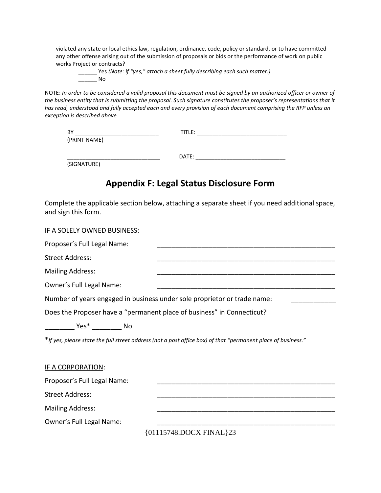violated any state or local ethics law, regulation, ordinance, code, policy or standard, or to have committed any other offense arising out of the submission of proposals or bids or the performance of work on public works Project or contracts?

\_\_\_\_\_\_ Yes *(Note: if "yes," attach a sheet fully describing each such matter.)* \_\_\_\_\_\_ No

NOTE: *In order to be considered a valid proposal this document must be signed by an authorized officer or owner of the business entity that is submitting the proposal. Such signature constitutes the proposer's representations that it has read, understood and fully accepted each and every provision of each document comprising the RFP unless an exception is described above.*

| BY           | TITLE: |  |
|--------------|--------|--|
| (PRINT NAME) |        |  |
|              |        |  |
|              | DATE:  |  |

(SIGNATURE)

## **Appendix F: Legal Status Disclosure Form**

Complete the applicable section below, attaching a separate sheet if you need additional space, and sign this form.

| IF A SOLELY OWNED BUSINESS:                                            |                                                                                                               |
|------------------------------------------------------------------------|---------------------------------------------------------------------------------------------------------------|
| Proposer's Full Legal Name:                                            |                                                                                                               |
| <b>Street Address:</b>                                                 |                                                                                                               |
| <b>Mailing Address:</b>                                                |                                                                                                               |
| Owner's Full Legal Name:                                               |                                                                                                               |
|                                                                        | Number of years engaged in business under sole proprietor or trade name:                                      |
| Does the Proposer have a "permanent place of business" in Connecticut? |                                                                                                               |
|                                                                        |                                                                                                               |
|                                                                        | * If yes, please state the full street address (not a post office box) of that "permanent place of business." |
| <b>IF A CORPORATION:</b>                                               |                                                                                                               |
| Proposer's Full Legal Name:                                            |                                                                                                               |
| <b>Street Address:</b>                                                 |                                                                                                               |
| <b>Mailing Address:</b>                                                |                                                                                                               |
| Owner's Full Legal Name:                                               |                                                                                                               |
|                                                                        |                                                                                                               |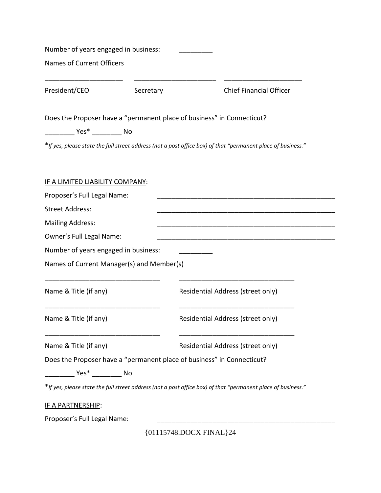| Number of years engaged in business:                  |           |                                                                                                               |
|-------------------------------------------------------|-----------|---------------------------------------------------------------------------------------------------------------|
| <b>Names of Current Officers</b>                      |           |                                                                                                               |
| President/CEO                                         | Secretary | <b>Chief Financial Officer</b>                                                                                |
|                                                       |           | Does the Proposer have a "permanent place of business" in Connecticut?                                        |
|                                                       |           |                                                                                                               |
|                                                       |           | * If yes, please state the full street address (not a post office box) of that "permanent place of business." |
|                                                       |           |                                                                                                               |
|                                                       |           |                                                                                                               |
| IF A LIMITED LIABILITY COMPANY:                       |           |                                                                                                               |
| Proposer's Full Legal Name:<br><b>Street Address:</b> |           |                                                                                                               |
| <b>Mailing Address:</b>                               |           |                                                                                                               |
|                                                       |           |                                                                                                               |
| Owner's Full Legal Name:                              |           |                                                                                                               |
| Number of years engaged in business:                  |           |                                                                                                               |
| Names of Current Manager(s) and Member(s)             |           |                                                                                                               |
| Name & Title (if any)                                 |           | Residential Address (street only)                                                                             |
|                                                       |           |                                                                                                               |
| Name & Title (if any)                                 |           | Residential Address (street only)                                                                             |
|                                                       |           |                                                                                                               |
| Name & Title (if any)                                 |           | Residential Address (street only)                                                                             |
|                                                       |           | Does the Proposer have a "permanent place of business" in Connecticut?                                        |
|                                                       |           |                                                                                                               |
|                                                       |           | * If yes, please state the full street address (not a post office box) of that "permanent place of business." |
|                                                       |           |                                                                                                               |
| <u>IF A PARTNERSHIP:</u>                              |           |                                                                                                               |
| Proposer's Full Legal Name:                           |           |                                                                                                               |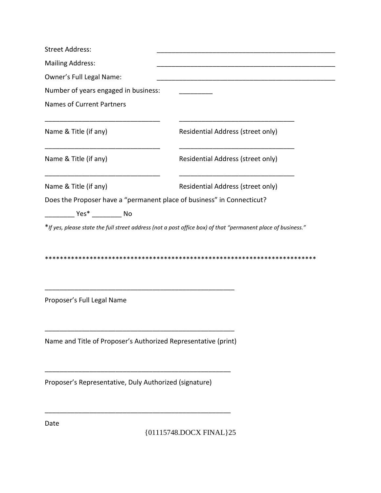| <b>Street Address:</b>                                                 |                                   |
|------------------------------------------------------------------------|-----------------------------------|
| <b>Mailing Address:</b>                                                |                                   |
| Owner's Full Legal Name:                                               |                                   |
| Number of years engaged in business:                                   |                                   |
| <b>Names of Current Partners</b>                                       |                                   |
| Name & Title (if any)                                                  | Residential Address (street only) |
| Name & Title (if any)                                                  | Residential Address (street only) |
| Name & Title (if any)                                                  | Residential Address (street only) |
| Does the Proposer have a "permanent place of business" in Connecticut? |                                   |
| Yes* No                                                                |                                   |
|                                                                        |                                   |
| Proposer's Full Legal Name                                             |                                   |
| Name and Title of Proposer's Authorized Representative (print)         |                                   |
|                                                                        |                                   |
| Proposer's Representative, Duly Authorized (signature)                 |                                   |

Date